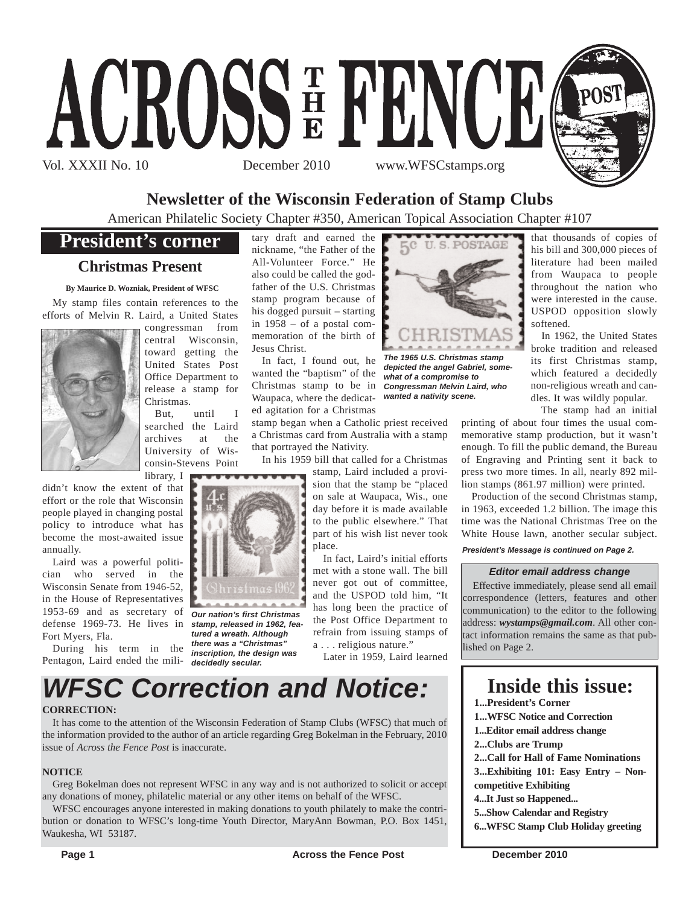

# **Newsletter of the Wisconsin Federation of Stamp Clubs**

American Philatelic Society Chapter #350, American Topical Association Chapter #107

# **President's corner**

# **Christmas Present**

**By Maurice D. Wozniak, President of WFSC**

My stamp files contain references to the efforts of Melvin R. Laird, a United States



congressman from central Wisconsin, toward getting the United States Post Office Department to release a stamp for Christmas.

But, until I searched the Laird archives at the University of Wisconsin-Stevens Point

library, I didn't know the extent of that effort or the role that Wisconsin people played in changing postal policy to introduce what has become the most-awaited issue annually.

Laird was a powerful politician who served in the Wisconsin Senate from 1946-52, in the House of Representatives 1953-69 and as secretary of *Our nation's first Christmas* defense 1969-73. He lives in *stamp, released in 1962, fea-*Fort Myers, Fla.

During his term in the Pentagon, Laird ended the mili-*decidedly secular.*

tary draft and earned the nickname, "the Father of the All-Volunteer Force." He also could be called the godfather of the U.S. Christmas stamp program because of his dogged pursuit – starting in 1958 – of a postal commemoration of the birth of Jesus Christ.

In fact, I found out, he wanted the "baptism" of the Christmas stamp to be in Waupaca, where the dedicated agitation for a Christmas

stamp began when a Catholic priest received a Christmas card from Australia with a stamp that portrayed the Nativity.

In his 1959 bill that called for a Christmas

stamp, Laird included a provision that the stamp be "placed on sale at Waupaca, Wis., one day before it is made available to the public elsewhere." That part of his wish list never took place.

In fact, Laird's initial efforts met with a stone wall. The bill never got out of committee, and the USPOD told him, "It has long been the practice of the Post Office Department to refrain from issuing stamps of a . . . religious nature."

Later in 1959, Laird learned



*tured a wreath. Although there was a "Christmas" inscription, the design was*

# **CORRECTION:**

It has come to the attention of the Wisconsin Federation of Stamp Clubs (WFSC) that much of the information provided to the author of an article regarding Greg Bokelman in the February, 2010 issue of *Across the Fence Post* is inaccurate.

## **NOTICE**

Greg Bokelman does not represent WFSC in any way and is not authorized to solicit or accept any donations of money, philatelic material or any other items on behalf of the WFSC.

WFSC encourages anyone interested in making donations to youth philately to make the contribution or donation to WFSC's long-time Youth Director, MaryAnn Bowman, P.O. Box 1451, Waukesha, WI 53187.



*The 1965 U.S. Christmas stamp depicted the angel Gabriel, somewhat of a compromise to Congressman Melvin Laird, who wanted a nativity scene.*

that thousands of copies of his bill and 300,000 pieces of literature had been mailed from Waupaca to people throughout the nation who were interested in the cause. USPOD opposition slowly softened.

In 1962, the United States broke tradition and released its first Christmas stamp, which featured a decidedly non-religious wreath and candles. It was wildly popular.

The stamp had an initial

printing of about four times the usual commemorative stamp production, but it wasn't enough. To fill the public demand, the Bureau of Engraving and Printing sent it back to press two more times. In all, nearly 892 million stamps (861.97 million) were printed.

Production of the second Christmas stamp, in 1963, exceeded 1.2 billion. The image this time was the National Christmas Tree on the White House lawn, another secular subject.

# *President's Message is continued on Page 2.*

# *Editor email address change*

Effective immediately, please send all email correspondence (letters, features and other communication) to the editor to the following address: *wystamps@gmail.com*. All other contact information remains the same as that published on Page 2.

# **Inside this issue:**

- **1...President's Corner**
- **1...WFSC Notice and Correction**
- **1...Editor email address change**
- **2...Clubs are Trump**
- **2...Call for Hall of Fame Nominations**

**3...Exhibiting 101: Easy Entry – Noncompetitive Exhibiting**

- **4...It Just so Happened...**
- **5...Show Calendar and Registry**
- **6...WFSC Stamp Club Holiday greeting**

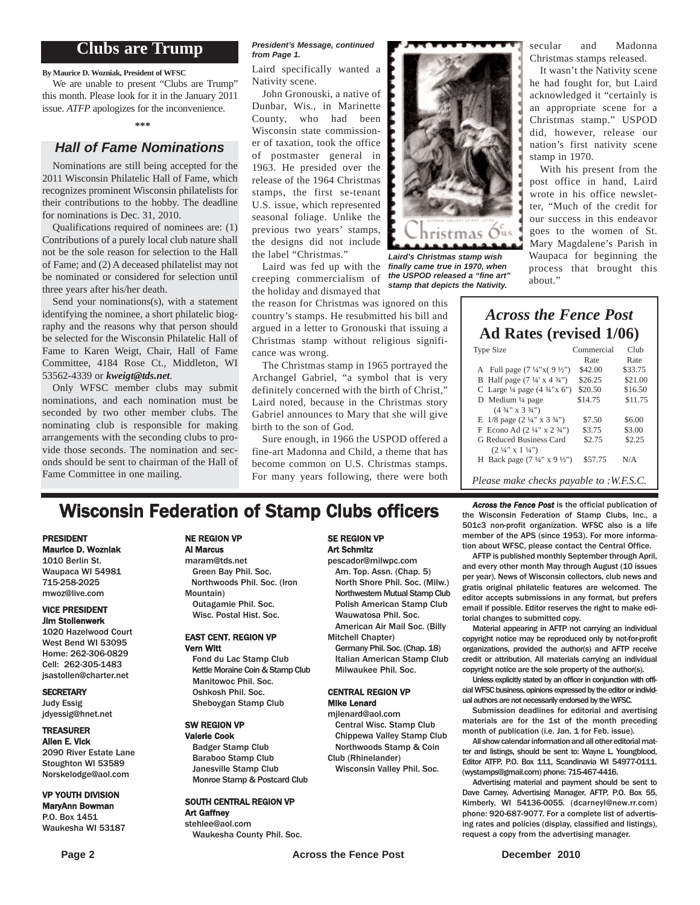# **Clubs are Trump**

**By Maurice D. Wozniak, President of WFSC**

We are unable to present "Clubs are Trump" this month. Please look for it in the January 2011 issue. *ATFP* apologizes for the inconvenience.

### **\*\*\***

# *Hall of Fame Nominations*

Nominations are still being accepted for the 2011 Wisconsin Philatelic Hall of Fame, which recognizes prominent Wisconsin philatelists for their contributions to the hobby. The deadline for nominations is Dec. 31, 2010.

Qualifications required of nominees are: (1) Contributions of a purely local club nature shall not be the sole reason for selection to the Hall of Fame; and (2) A deceased philatelist may not be nominated or considered for selection until three years after his/her death.

Send your nominations(s), with a statement identifying the nominee, a short philatelic biography and the reasons why that person should be selected for the Wisconsin Philatelic Hall of Fame to Karen Weigt, Chair, Hall of Fame Committee, 4184 Rose Ct., Middleton, WI 53562-4339 or *kweigt@tds.net*.

Only WFSC member clubs may submit nominations, and each nomination must be seconded by two other member clubs. The nominating club is responsible for making arrangements with the seconding clubs to provide those seconds. The nomination and seconds should be sent to chairman of the Hall of Fame Committee in one mailing.

### *President's Message, continued from Page 1.*

Laird specifically wanted a Nativity scene.

John Gronouski, a native of Dunbar, Wis., in Marinette County, who had been Wisconsin state commissioner of taxation, took the office of postmaster general in 1963. He presided over the release of the 1964 Christmas stamps, the first se-tenant U.S. issue, which represented seasonal foliage. Unlike the previous two years' stamps, the designs did not include the label "Christmas."

Laird was fed up with the creeping commercialism of the holiday and dismayed that

the reason for Christmas was ignored on this country's stamps. He resubmitted his bill and argued in a letter to Gronouski that issuing a Christmas stamp without religious significance was wrong.

The Christmas stamp in 1965 portrayed the Archangel Gabriel, "a symbol that is very definitely concerned with the birth of Christ," Laird noted, because in the Christmas story Gabriel announces to Mary that she will give birth to the son of God.

Sure enough, in 1966 the USPOD offered a fine-art Madonna and Child, a theme that has become common on U.S. Christmas stamps. For many years following, there were both



*Laird's Christmas stamp wish finally came true in 1970, when the USPOD released a "fine art" stamp that depicts the Nativity.*

secular and Madonna Christmas stamps released.

It wasn't the Nativity scene he had fought for, but Laird acknowledged it "certainly is an appropriate scene for a Christmas stamp." USPOD did, however, release our nation's first nativity scene stamp in 1970.

With his present from the post office in hand, Laird wrote in his office newsletter, "Much of the credit for our success in this endeavor goes to the women of St. Mary Magdalene's Parish in Waupaca for beginning the process that brought this about."

# *Across the Fence Post* **Ad Rates (revised 1/06)**

| Type Size                                          | Commercial | Club    |
|----------------------------------------------------|------------|---------|
|                                                    | Rate       | Rate    |
| A Full page $(7\frac{1}{4}x(9\frac{1}{2}y))$       | \$42.00    | \$33.75 |
| B Half page $(7\frac{1}{4} \times 4\frac{3}{4})$   | \$26.25    | \$21.00 |
| C Large $\frac{1}{4}$ page $(4 \frac{3}{4} x 6'')$ | \$20.50    | \$16.50 |
| D Medium $\frac{1}{4}$ page                        | \$14.75    | \$11.75 |
| $(4\frac{3}{4}$ " x 3 $\frac{3}{4}$ ")             |            |         |
| E $1/8$ page $(2\frac{1}{4}$ " x $3\frac{3}{4}$ ") | \$7.50     | \$6.00  |
| F Econo Ad $(2\frac{1}{4}$ " x $2\frac{3}{4}$ ")   | \$3.75     | \$3.00  |
| G Reduced Business Card                            | \$2.75     | \$2.25  |
| $(2\frac{1}{4}$ " x 1 $\frac{1}{4}$ ")             |            |         |
| H Back page $(7\frac{1}{4}$ " x 9 $\frac{1}{2}$ ") | \$57.75    | N/A     |
|                                                    |            |         |
| Please make checks payable to :W.F.S.C.            |            |         |

# **Wisconsin Federation of Stamp Clubs officers** Across the Fence Post is the official publication of **Stamp** Clubs, Inc., a

#### PRESIDENT Maurice D. Wozniak

1010 Berlin St. Waupaca WI 54981 715-258-2025 mwoz@live.com

### VICE PRESIDENT Jim Stollenwerk

1020 Hazelwood Court West Bend WI 53095 Home: 262-306-0829 Cell: 262-305-1483 jsastollen@charter.net

### **SECRETARY**

Judy Essig jdyessig@hnet.net

# TREASURER

Allen E. Vick 2090 River Estate Lane Stoughton WI 53589 Norskelodge@aol.com

### VP YOUTH DIVISION MaryAnn Bowman

P.O. Box 1451 Waukesha WI 53187

#### NE REGION VP Al Marcus

maram@tds.net Green Bay Phil. Soc. Northwoods Phil. Soc. (Iron Mountain) Outagamie Phil. Soc. Wisc. Postal Hist. Soc.

## EAST CENT. REGION VP Vern Witt

Fond du Lac Stamp Club Kettle Moraine Coin & Stamp Club Manitowoc Phil. Soc. Oshkosh Phil. Soc. Sheboygan Stamp Club

#### SW REGION VP Valerie Cook

Badger Stamp Club Baraboo Stamp Club Janesville Stamp Club Monroe Stamp & Postcard Club

#### SOUTH CENTRAL REGION VP Art Gaffney

stehlee@aol.com Waukesha County Phil. Soc.

# SE REGION VP Art Schmitz

pescador@milwpc.com Am. Top. Assn. (Chap. 5) North Shore Phil. Soc. (Milw.) Northwestern Mutual Stamp Club Polish American Stamp Club Wauwatosa Phil. Soc. American Air Mail Soc. (Billy

- Mitchell Chapter)
	- Germany Phil. Soc. (Chap. 18) Italian American Stamp Club Milwaukee Phil. Soc.

## CENTRAL REGION VP Mike Lenard

mjlenard@aol.com Central Wisc. Stamp Club Chippewa Valley Stamp Club Northwoods Stamp & Coin Club (Rhinelander)

- Wisconsin Valley Phil. Soc.
- 

the Wisconsin Federation of Stamp Clubs, Inc., a 501c3 non-profit organization. WFSC also is a life member of the APS (since 1953). For more information about WFSC, please contact the Central Office.

AFTP is published monthly September through April, and every other month May through August (10 issues per year). News of Wisconsin collectors, club news and gratis original philatelic features are welcomed. The editor accepts submissions in any format, but prefers email if possible. Editor reserves the right to make editorial changes to submitted copy.

Material appearing in AFTP not carrying an individual copyright notice may be reproduced only by not-for-profit organizations, provided the author(s) and AFTP receive credit or attribution. All materials carrying an individual copyright notice are the sole property of the author(s).

Unless explicitly stated by an officer in conjunction with official WFSC business, opinions expressed by the editor or individual authors are not necessarily endorsed by the WFSC.

Submission deadlines for editorial and avertising materials are for the 1st of the month preceding month of publication (i.e. Jan. 1 for Feb. issue).

All show calendar information and all other editorial matter and listings, should be sent to: Wayne L. Youngblood, Editor ATFP, P.O. Box 111, Scandinavia WI 54977-0111. (wystamps@gmail.com) phone: 715-467-4416.

Advertising material and payment should be sent to Dave Carney, Advertising Manager, AFTP, P.O. Box 55, Kimberly, WI 54136-0055. (dcarneyl@new.rr.com) phone: 920-687-9077. For a complete list of advertising rates and policies (display, classified and listings), request a copy from the advertising manager.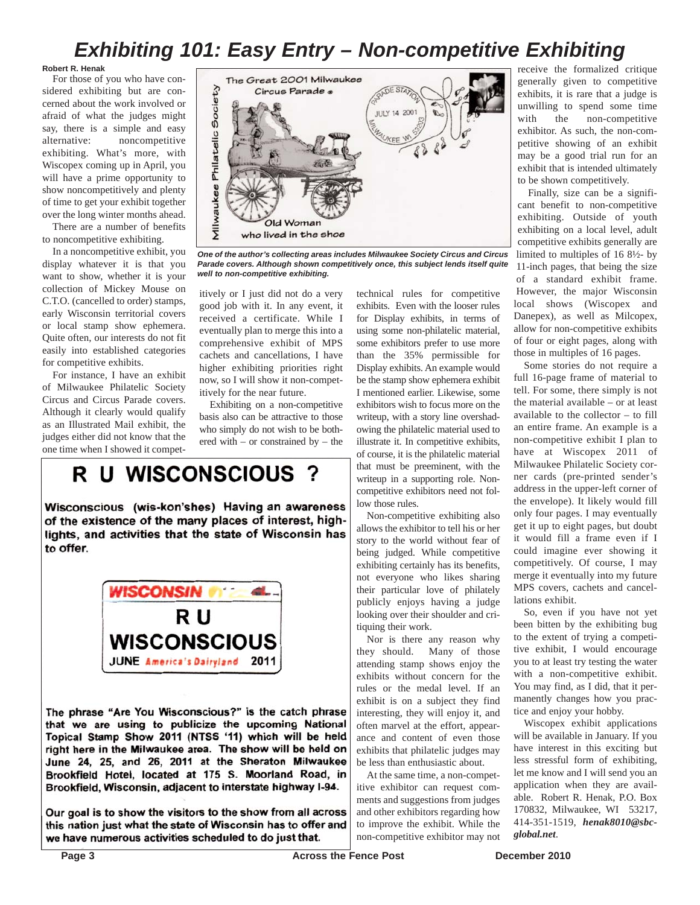# *Exhibiting 101: Easy Entry – Non-competitive Exhibiting*

**Robert R. Henak**

For those of you who have considered exhibiting but are concerned about the work involved or afraid of what the judges might say, there is a simple and easy alternative: noncompetitive exhibiting. What's more, with Wiscopex coming up in April, you will have a prime opportunity to show noncompetitively and plenty of time to get your exhibit together over the long winter months ahead.

There are a number of benefits to noncompetitive exhibiting.

In a noncompetitive exhibit, you display whatever it is that you want to show, whether it is your collection of Mickey Mouse on C.T.O. (cancelled to order) stamps, early Wisconsin territorial covers or local stamp show ephemera. Quite often, our interests do not fit easily into established categories for competitive exhibits.

For instance, I have an exhibit of Milwaukee Philatelic Society Circus and Circus Parade covers. Although it clearly would qualify as an Illustrated Mail exhibit, the judges either did not know that the one time when I showed it compet-



*One of the author's collecting areas includes Milwaukee Society Circus and Circus Parade covers. Although shown competitively once, this subject lends itself quite well to non-competitive exhibiting.*

itively or I just did not do a very good job with it. In any event, it received a certificate. While I eventually plan to merge this into a comprehensive exhibit of MPS cachets and cancellations, I have higher exhibiting priorities right now, so I will show it non-competitively for the near future.

Exhibiting on a non-competitive basis also can be attractive to those who simply do not wish to be bothered with – or constrained by – the

# R U WISCONSCIOUS

Wisconscious (wis-kon'shes) Having an awareness of the existence of the many places of interest, highlights, and activities that the state of Wisconsin has to offer.



The phrase "Are You Wisconscious?" is the catch phrase that we are using to publicize the upcoming National Topical Stamp Show 2011 (NTSS '11) which will be held right here in the Milwaukee area. The show will be held on June 24, 25, and 26, 2011 at the Sheraton Milwaukee Brookfield Hotel, located at 175 S. Moorland Road, in Brookfield, Wisconsin, adjacent to interstate highway I-94.

Our goal is to show the visitors to the show from all across this nation just what the state of Wisconsin has to offer and we have numerous activities scheduled to do just that.

technical rules for competitive exhibits. Even with the looser rules for Display exhibits, in terms of using some non-philatelic material, some exhibitors prefer to use more than the 35% permissible for Display exhibits. An example would be the stamp show ephemera exhibit I mentioned earlier. Likewise, some exhibitors wish to focus more on the writeup, with a story line overshadowing the philatelic material used to illustrate it. In competitive exhibits, of course, it is the philatelic material that must be preeminent, with the writeup in a supporting role. Noncompetitive exhibitors need not follow those rules.

Non-competitive exhibiting also allows the exhibitor to tell his or her story to the world without fear of being judged. While competitive exhibiting certainly has its benefits, not everyone who likes sharing their particular love of philately publicly enjoys having a judge looking over their shoulder and critiquing their work.

Nor is there any reason why they should. Many of those attending stamp shows enjoy the exhibits without concern for the rules or the medal level. If an exhibit is on a subject they find interesting, they will enjoy it, and often marvel at the effort, appearance and content of even those exhibits that philatelic judges may be less than enthusiastic about.

At the same time, a non-competitive exhibitor can request comments and suggestions from judges and other exhibitors regarding how to improve the exhibit. While the non-competitive exhibitor may not receive the formalized critique generally given to competitive exhibits, it is rare that a judge is unwilling to spend some time with the non-competitive exhibitor. As such, the non-competitive showing of an exhibit may be a good trial run for an exhibit that is intended ultimately to be shown competitively.

Finally, size can be a significant benefit to non-competitive exhibiting. Outside of youth exhibiting on a local level, adult competitive exhibits generally are limited to multiples of 16 8½- by 11-inch pages, that being the size of a standard exhibit frame. However, the major Wisconsin local shows (Wiscopex and Danepex), as well as Milcopex, allow for non-competitive exhibits of four or eight pages, along with those in multiples of 16 pages.

Some stories do not require a full 16-page frame of material to tell. For some, there simply is not the material available – or at least available to the collector – to fill an entire frame. An example is a non-competitive exhibit I plan to have at Wiscopex 2011 of Milwaukee Philatelic Society corner cards (pre-printed sender's address in the upper-left corner of the envelope). It likely would fill only four pages. I may eventually get it up to eight pages, but doubt it would fill a frame even if I could imagine ever showing it competitively. Of course, I may merge it eventually into my future MPS covers, cachets and cancellations exhibit.

So, even if you have not yet been bitten by the exhibiting bug to the extent of trying a competitive exhibit, I would encourage you to at least try testing the water with a non-competitive exhibit. You may find, as I did, that it permanently changes how you practice and enjoy your hobby.

Wiscopex exhibit applications will be available in January. If you have interest in this exciting but less stressful form of exhibiting, let me know and I will send you an application when they are available. Robert R. Henak, P.O. Box 170832, Milwaukee, WI 53217, 414-351-1519, *henak8010@sbcglobal.net*.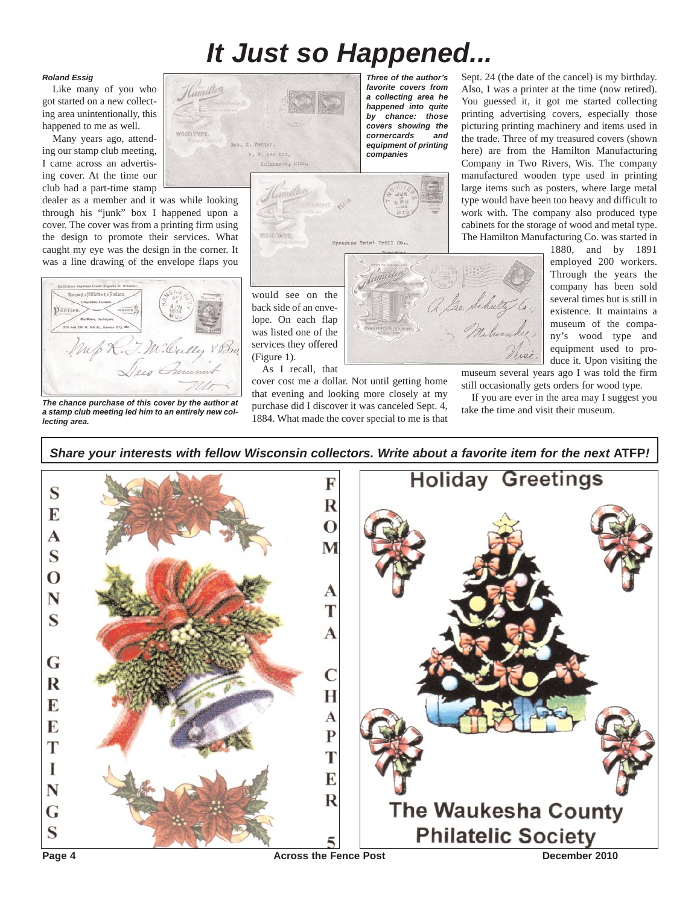# *It Just so Happened...*

*Three of the author's favorite covers from a collecting area he happened into quite by chance: those covers showing the cornercards and equipment of printing companies*

## *Roland Essig*

Like many of you who got started on a new collecting area unintentionally, this happened to me as well.

Many years ago, attending our stamp club meeting, I came across an advertising cover. At the time our club had a part-time stamp

dealer as a member and it was while looking through his "junk" box I happened upon a cover. The cover was from a printing firm using the design to promote their services. What caught my eye was the design in the corner. It was a line drawing of the envelope flaps you



*The chance purchase of this cover by the author at a stamp club meeting led him to an entirely new collecting area.*

Hamilton P. C. nox 631, Kalmmanoo, Mich.



would see on the back side of an envelope. On each flap was listed one of the services they offered (Figure 1).

As I recall, that cover cost me a dollar. Not until getting home that evening and looking more closely at my purchase did I discover it was canceled Sept. 4,

1884. What made the cover special to me is that

Sept. 24 (the date of the cancel) is my birthday. Also, I was a printer at the time (now retired). You guessed it, it got me started collecting printing advertising covers, especially those picturing printing machinery and items used in the trade. Three of my treasured covers (shown here) are from the Hamilton Manufacturing Company in Two Rivers, Wis. The company manufactured wooden type used in printing large items such as posters, where large metal type would have been too heavy and difficult to work with. The company also produced type cabinets for the storage of wood and metal type. The Hamilton Manufacturing Co. was started in

> 1880, and by 1891 employed 200 workers. Through the years the company has been sold several times but is still in existence. It maintains a museum of the company's wood type and equipment used to pro-

duce it. Upon visiting the museum several years ago I was told the firm still occasionally gets orders for wood type.

If you are ever in the area may I suggest you take the time and visit their museum.

*Share your interests with fellow Wisconsin collectors. Write about a favorite item for the next* **ATFP***!***Holiday Greetings** F S  $\overline{\mathbf{R}}$ F  $\Omega$ A M S  $\Omega$ A N T  $\mathbf S$ A G R H E A E P T T I F N R The Waukesha County G S **Philatelic Society Page 4 Across the Fence Post Across the Fence Post December 2010**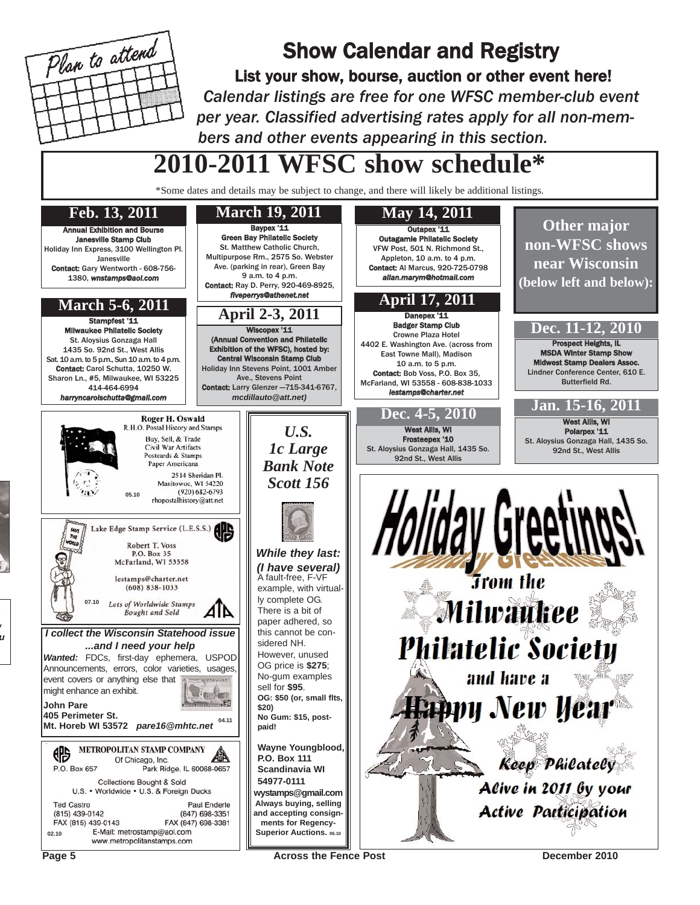

# Show Calendar and Registry

List your show, bourse, auction or other event here! *Calendar listings are free for one WFSC member-club event per year. Classified advertising rates apply for all non-members and other events appearing in this section.*

# **2010-2011 WFSC show schedule\***

\*Some dates and details may be subject to change, and there will likely be additional listings.



*w*